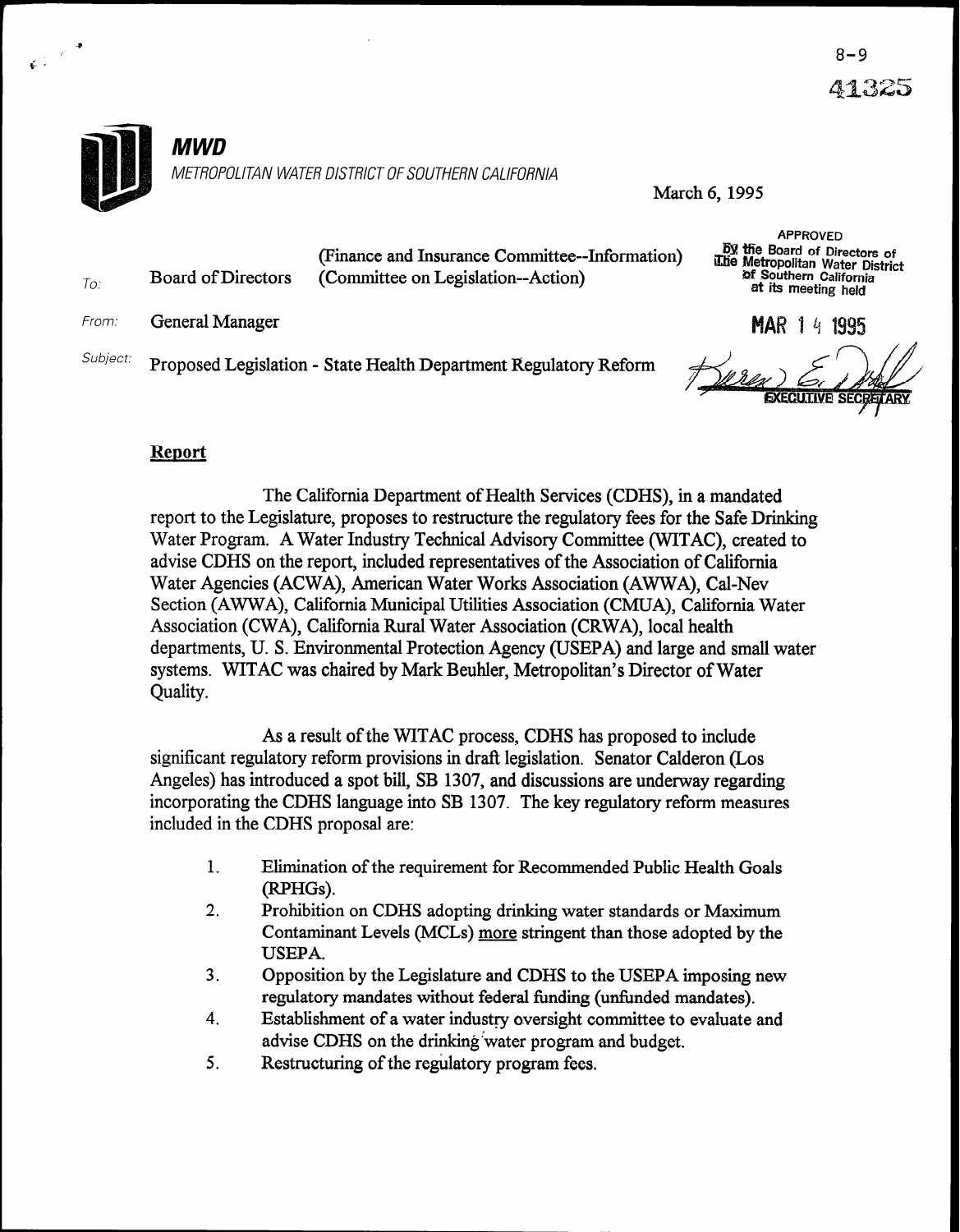APPROVED  $\overline{60}$   $\overline{60}$  Board of Directors  $\overline{60}$ 

**EXECUTIVE SECRETARY** 



March 6,1995

| To:      | (Finance and Insurance Committee--Information)<br>Board of Directors<br>(Committee on Legislation--Action) |                                                                  | by the Board of Directors of<br>The Metropolitan Water District<br>of Southern California<br>at its meeting held |                    |
|----------|------------------------------------------------------------------------------------------------------------|------------------------------------------------------------------|------------------------------------------------------------------------------------------------------------------|--------------------|
| From:    | General Manager                                                                                            |                                                                  |                                                                                                                  | <b>MAR 14 1995</b> |
| Subject: |                                                                                                            | Proposed Legislation - State Health Department Regulatory Reform |                                                                                                                  | Berex E, idad      |

# **Report**

The California Department of Health Services (CDHS), in a mandated report to the Legislature, proposes to restructure the regulatory fees for the Safe Drinking Water Program. A Water Industry Technical Advisory Committee (WITAC), created to advise CDHS on the report, included representatives of the Association of California Water Agencies (ACWA), American Water Works Association (AWWA), Cal-Nev Section (AWWA), California Municipal Utilities Association (CMUA), California Water Association (CWA), California Rural Water Association (CRWA), local health departments, U. S. Environmental Protection Agency (USEPA) and large and small water systems. WITAC was chaired by Mark Beuhler, Metropolitan's Director of Water Quality.

As a result of the WITAC process, CDHS has proposed to include significant regulatory reform provisions in draft legislation. Senator Calderon (Los Angeles) has introduced a spot bill, SB 1307, and discussions are underway regarding incorporating the CDHS language into SB 1307. The key regulatory reform measures included in the CDHS proposal are:

- 1. Elimination of the requirement for Recommended Public Health Goals (RPHGs).
- 2. Prohibition on CDHS adopting drinking water standards or Maximum Contaminant Levels (MCLs) more stringent than those adopted by the USEPA.
- 3. Opposition by the Legislature and CDHS to the USEPA imposing new regulatory mandates without federal funding (unfunded mandates).
- 4. Establishment of a water industry oversight committee to evaluate and advise CDHS on the drinking water program and budget.
- 5. Restructuring of the regulatory program fees.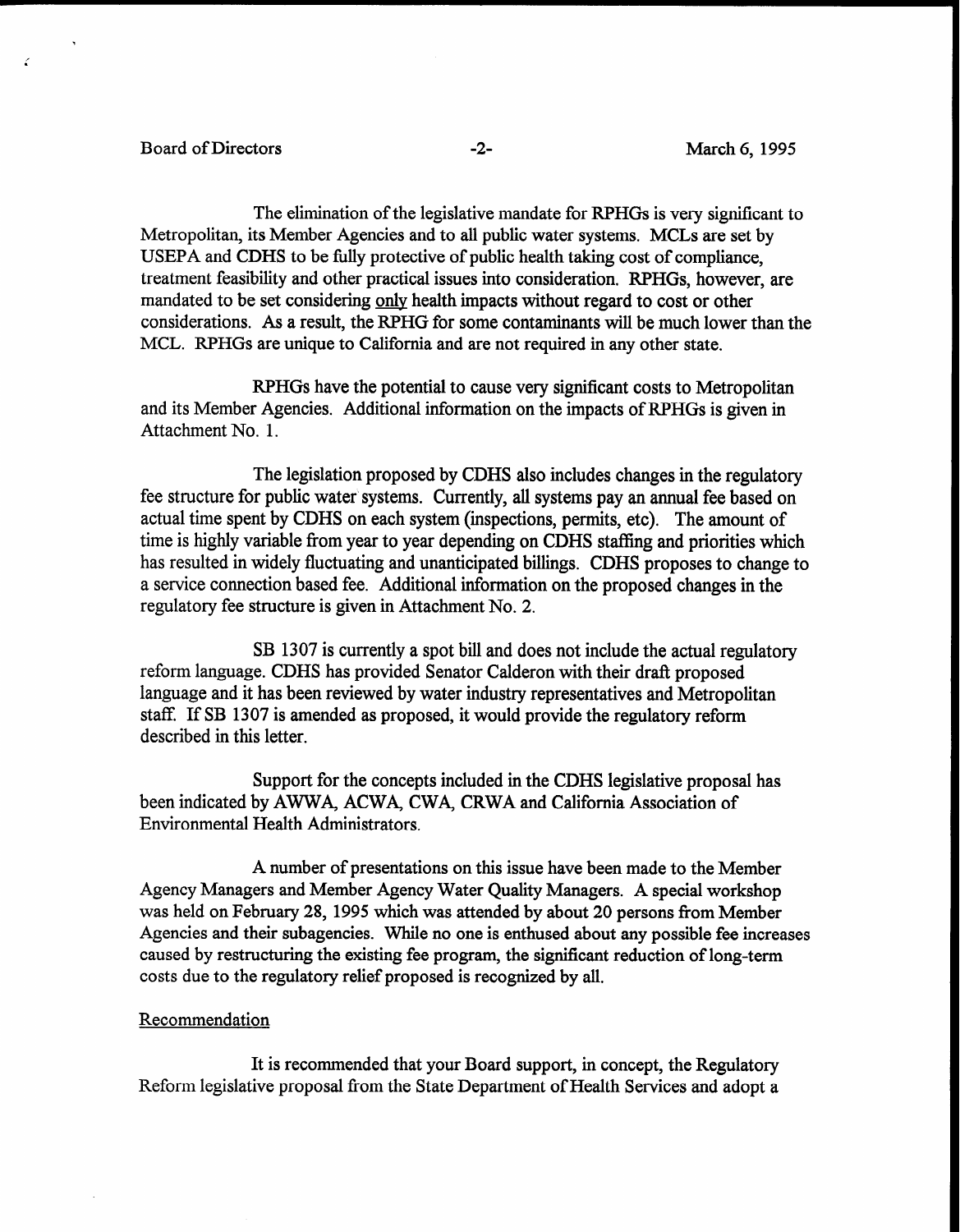## Board of Directors -2- March 6, 1995

C

The elimination of the legislative mandate for RPHGs is very significant to Metropolitan, its Member Agencies and to all public water systems. MCLs are set by USEPA and CDHS to be fully protective of public health taking cost of compliance, treatment feasibility and other practical issues into consideration. RPHGs, however, are mandated to be set considering only health impacts without regard to cost or other considerations. As a result, the RPHG for some contaminants will be much lower than the MCL. RPHGs are unique to California and are not required in any other state.

RPHGs have the potential to cause very significant costs to Metropolitan and its Member Agencies. Additional information on the impacts of RPHGs is given in Attachment No. 1.

The legislation proposed by CDHS also includes changes in the regulatory fee structure for public water systems. Currently, all systems pay an annual fee based on actual time spent by CDHS on each system (inspections, permits, etc). The amount of time is highly variable from year to year depending on CDHS staffing and priorities which has resulted in widely fluctuating and unanticipated billings. CDHS proposes to change to a service connection based fee. Additional information on the proposed changes in the regulatory fee structure is given in Attachment No. 2.

SB 1307 is currently a spot bill and does not include the actual regulatory reform language. CDHS has provided Senator Calderon with their draft proposed language and it has been reviewed by water industry representatives and Metropolitan staff. If SB 1307 is amended as proposed, it would provide the regulatory reform described in this letter.

Support for the concepts included in the CDHS legislative proposal has been indicated by AWWA, ACWA, CWA, CRWA and California Association of Environmental Health Administrators.

A number of presentations on this issue have been made to the Member Agency Managers and Member Agency Water Quality Managers. A special workshop was held on February 28,1995 which was attended by about 20 persons from Member Agencies and their subagencies. While no one is enthused about any possible fee increases caused by restructuring the existing fee program, the significant reduction of long-term costs due to the regulatory relief proposed is recognized by all.

### Recommendation

It is recommended that your Board support, in concept, the Regulatory Reform legislative proposal from the State Department of Health Services and adopt a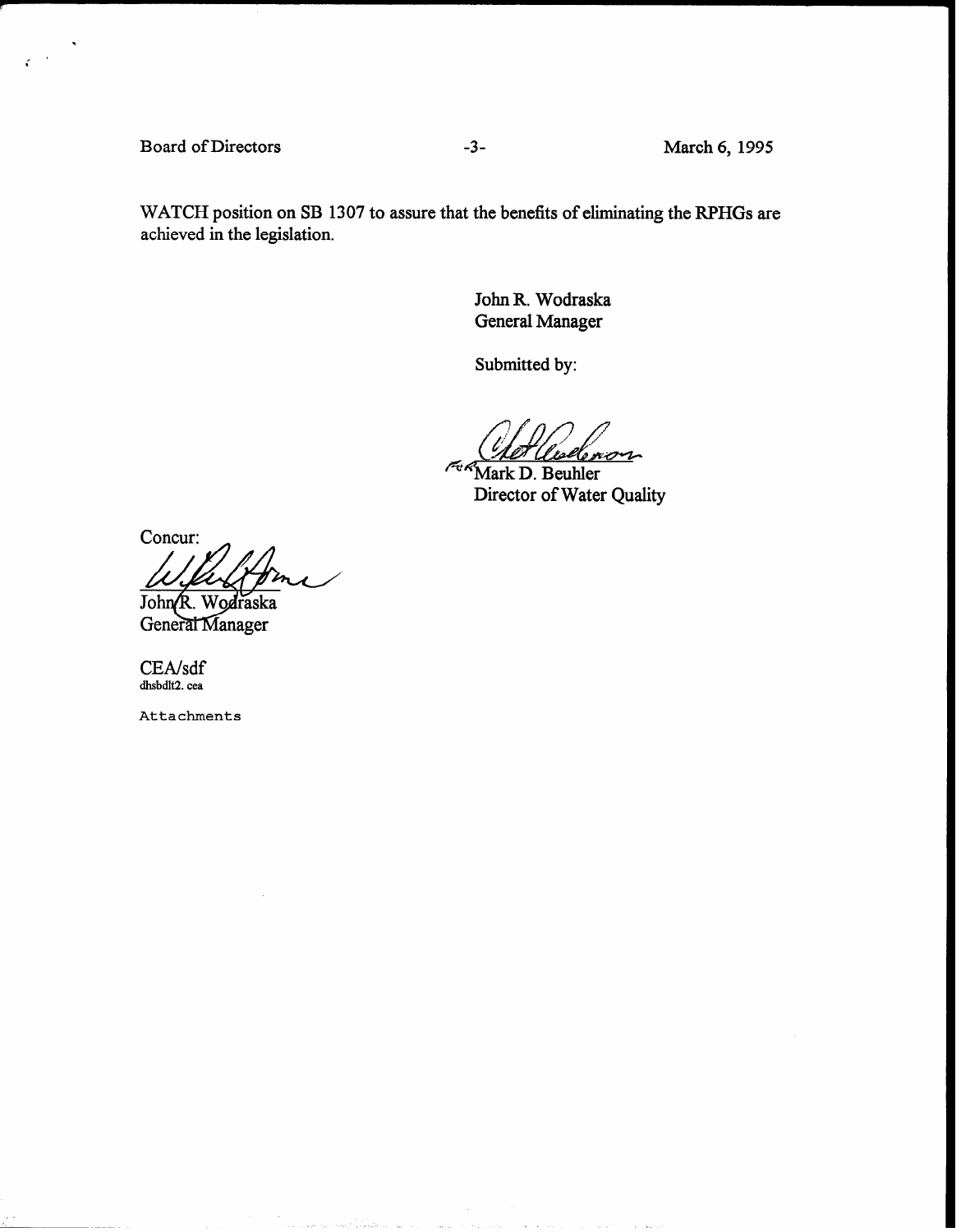Board of Directors -3- March 6, 1995

 $\zeta$ 

WATCH position on SB 1307 to assure that the benefits of eliminating the RPHGs are achieved in the legislation.

> John R. Wodraska General Manager

Submitted by:

nsk eron

**King Mark D. Beuhler** Director of Water Quality

Concur:

John R. Wodraska General Manager

CEA/sdf dhsbdlt2. cea

Attachments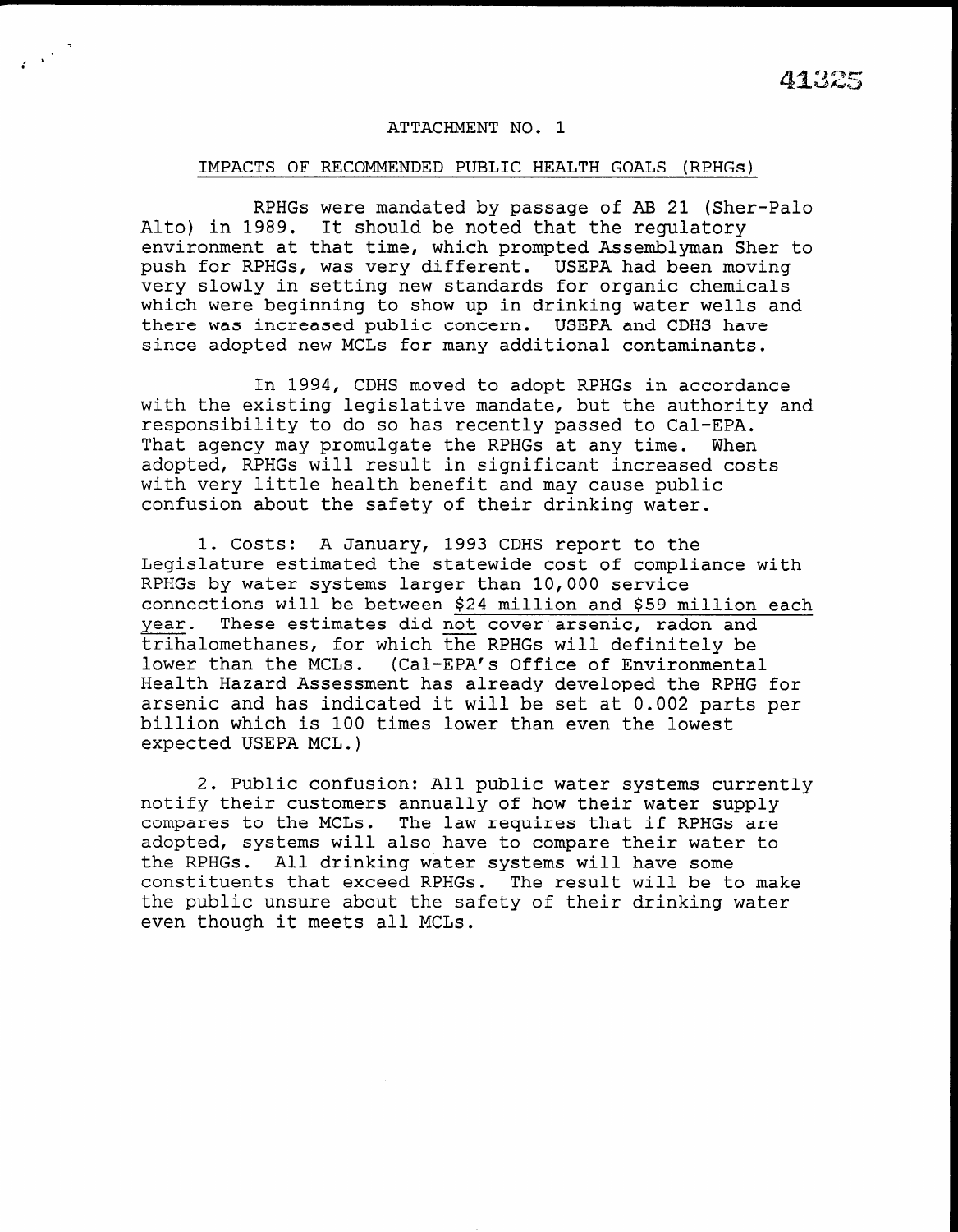### ATTACHMENT NO. 1

<sup>i</sup>.

#### IMPACTS OF RECOMMENDED PUBLIC HEALTH GOALS (RPHGs)

RPHGs were mandated by passage of AB 21 (Sher-Palo Alto) in 1989. It should be noted that the regulatory environment at that time, which prompted Assemblyman Sher to push for RPHGs, was very different. USEPA had been moving very slowly in setting new standards for organic chemicals which were beginning to show up in drinking water wells and there was increased public concern. USEPA and CDHS have since adopted new MCLs for many additional contaminants.

In 1994, CDHS moved to adopt RPHGs in accordance with the existing legislative mandate, but the authority and responsibility to do so has recently passed to Cal-EPA. That agency may promulgate the RPHGs at any time. When adopted, RPHGs will result in significant increased costs with very little health benefit and may cause public confusion about the safety of their drinking water.

1. costs: A January, 1993 CDHS report to the Legislature estimated the statewide cost of compliance with RPHGs by water systems larger than 10,000 service connections will be between \$24 million and \$59 million each year. These estimates did not cover arsenic, radon and trihalomethanes, for which the RPHGs will definitely be LITHATOMETHANES, TOI WHITCH THE NERGS WITH GETTHITETY I Health Hazard Assessment has already developed the RPHG for nearth nazaru Assessment has arready deveroped the RPAG for arsenic and has indicated it will be set at 0.002 parts per billion which is 100 times lower than even the lowest expected USEPA MCL.)

2. Public confusion: All public water systems currently z. Public confusion: All public water systems curre notify their customers annually of how their water supply compares to the MCLs. The law requires that if RPHGs are adopted, systems will also have to compare their water to the RPHGs. All drinking water systems will have some constituents that exceed RPHGs. The result will be to make the public unsure about the safety of their drinking water even though it meets all MCLs.